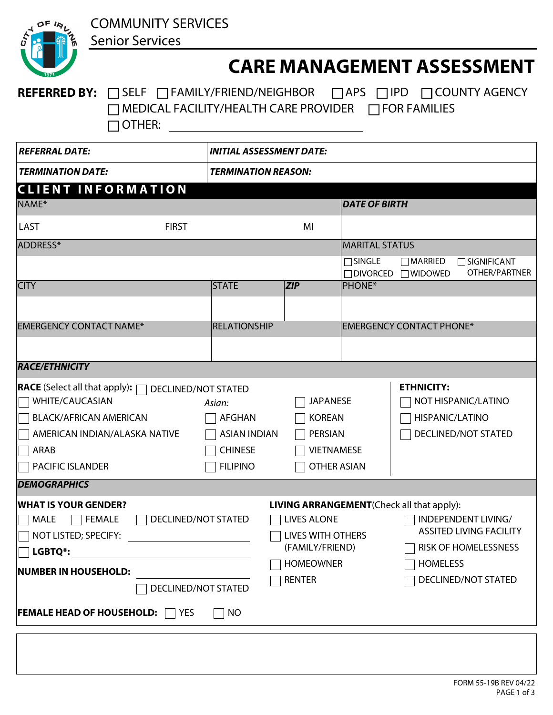

## **CARE MANAGEMENT ASSESSMENT**

## REFERRED BY: **SELF FAMILY/FRIEND/NEIGHBOR APS TIPD COUNTY AGENCY** MEDICAL FACILITY/HEALTH CARE PROVIDER □ FOR FAMILIES OTHER:

| <b>REFERRAL DATE:</b>                                                                                                                                                                                                     | <b>INITIAL ASSESSMENT DATE:</b>                                                     |                                                                                                 |                                                                                                                                                                                     |  |  |  |  |  |  |
|---------------------------------------------------------------------------------------------------------------------------------------------------------------------------------------------------------------------------|-------------------------------------------------------------------------------------|-------------------------------------------------------------------------------------------------|-------------------------------------------------------------------------------------------------------------------------------------------------------------------------------------|--|--|--|--|--|--|
| <b>TERMINATION DATE:</b>                                                                                                                                                                                                  | <b>TERMINATION REASON:</b>                                                          |                                                                                                 |                                                                                                                                                                                     |  |  |  |  |  |  |
| <b>CLIENT INFORMATION</b>                                                                                                                                                                                                 |                                                                                     |                                                                                                 |                                                                                                                                                                                     |  |  |  |  |  |  |
| NAME*                                                                                                                                                                                                                     |                                                                                     |                                                                                                 | <b>DATE OF BIRTH</b>                                                                                                                                                                |  |  |  |  |  |  |
| <b>FIRST</b><br><b>LAST</b>                                                                                                                                                                                               |                                                                                     | MI                                                                                              |                                                                                                                                                                                     |  |  |  |  |  |  |
| ADDRESS*                                                                                                                                                                                                                  |                                                                                     |                                                                                                 | <b>MARITAL STATUS</b>                                                                                                                                                               |  |  |  |  |  |  |
|                                                                                                                                                                                                                           |                                                                                     |                                                                                                 | $\Box$ SINGLE<br>$\Box$ MARRIED<br>$\Box$ SIGNIFICANT<br>OTHER/PARTNER<br>$\Box$ DIVORCED<br>$\Box$ WIDOWED                                                                         |  |  |  |  |  |  |
| <b>CITY</b>                                                                                                                                                                                                               | <b>STATE</b>                                                                        | ZIP                                                                                             | <b>PHONE*</b>                                                                                                                                                                       |  |  |  |  |  |  |
|                                                                                                                                                                                                                           | $\blacktriangledown$                                                                |                                                                                                 |                                                                                                                                                                                     |  |  |  |  |  |  |
| <b>EMERGENCY CONTACT NAME*</b>                                                                                                                                                                                            | <b>RELATIONSHIP</b>                                                                 |                                                                                                 | <b>EMERGENCY CONTACT PHONE*</b>                                                                                                                                                     |  |  |  |  |  |  |
|                                                                                                                                                                                                                           |                                                                                     |                                                                                                 |                                                                                                                                                                                     |  |  |  |  |  |  |
| <b>RACE/ETHNICITY</b>                                                                                                                                                                                                     |                                                                                     |                                                                                                 |                                                                                                                                                                                     |  |  |  |  |  |  |
| <b>RACE</b> (Select all that apply): <b>QUE DECLINED/NOT STATED</b><br><b>WHITE/CAUCASIAN</b><br><b>BLACK/AFRICAN AMERICAN</b><br>AMERICAN INDIAN/ALASKA NATIVE<br>ARAB<br><b>PACIFIC ISLANDER</b><br><b>DEMOGRAPHICS</b> | Asian:<br><b>AFGHAN</b><br><b>ASIAN INDIAN</b><br><b>CHINESE</b><br><b>FILIPINO</b> | <b>JAPANESE</b><br><b>KOREAN</b><br>PERSIAN<br><b>VIETNAMESE</b><br><b>OTHER ASIAN</b>          | <b>ETHNICITY:</b><br>NOT HISPANIC/LATINO<br>HISPANIC/LATINO<br>DECLINED/NOT STATED                                                                                                  |  |  |  |  |  |  |
|                                                                                                                                                                                                                           |                                                                                     |                                                                                                 |                                                                                                                                                                                     |  |  |  |  |  |  |
| <b>WHAT IS YOUR GENDER?</b><br>DECLINED/NOT STATED<br><b>MALE</b><br><b>FEMALE</b><br>NOT LISTED; SPECIFY:<br>LGBTQ*:<br>NUMBER IN HOUSEHOLD:<br>DECLINED/NOT STATED<br><b>FEMALE HEAD OF HOUSEHOLD:</b> 7 YES            | ∏ NO                                                                                | <b>LIVES ALONE</b><br>LIVES WITH OTHERS<br>(FAMILY/FRIEND)<br><b>HOMEOWNER</b><br><b>RENTER</b> | <b>LIVING ARRANGEMENT</b> (Check all that apply):<br>INDEPENDENT LIVING/<br><b>ASSITED LIVING FACILITY</b><br>$\Box$ RISK OF HOMELESSNESS<br><b>HOMELESS</b><br>DECLINED/NOT STATED |  |  |  |  |  |  |
|                                                                                                                                                                                                                           |                                                                                     |                                                                                                 |                                                                                                                                                                                     |  |  |  |  |  |  |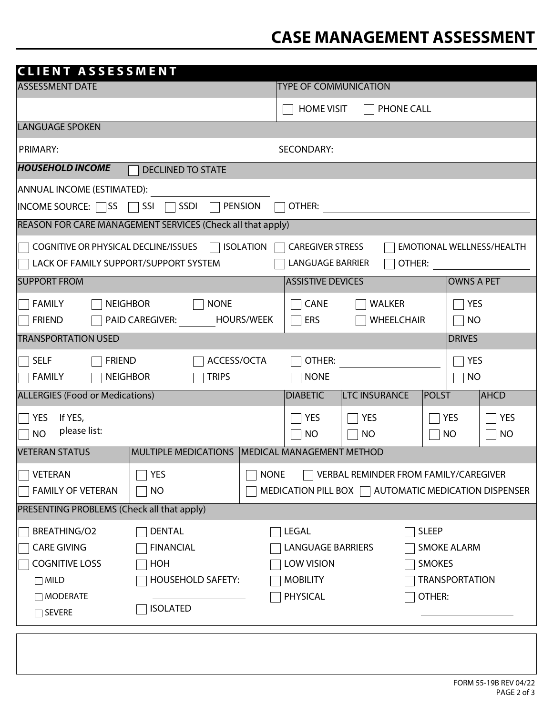## **CASE MANAGEMENT ASSESSMENT**

| <b>CLIENT ASSESSMENT</b>                                                                                         |                                                                 |  |  |  |  |  |  |  |  |  |
|------------------------------------------------------------------------------------------------------------------|-----------------------------------------------------------------|--|--|--|--|--|--|--|--|--|
| <b>ASSESSMENT DATE</b>                                                                                           | <b>TYPE OF COMMUNICATION</b>                                    |  |  |  |  |  |  |  |  |  |
|                                                                                                                  | <b>HOME VISIT</b><br>PHONE CALL                                 |  |  |  |  |  |  |  |  |  |
| <b>LANGUAGE SPOKEN</b>                                                                                           |                                                                 |  |  |  |  |  |  |  |  |  |
| PRIMARY:                                                                                                         | <b>SECONDARY:</b>                                               |  |  |  |  |  |  |  |  |  |
| <b>HOUSEHOLD INCOME</b><br><b>DECLINED TO STATE</b>                                                              |                                                                 |  |  |  |  |  |  |  |  |  |
| ANNUAL INCOME (ESTIMATED):                                                                                       |                                                                 |  |  |  |  |  |  |  |  |  |
| SSDI<br><b>PENSION</b><br>$INCOME$ SOURCE: $\Box$ SS<br>SSI<br>OTHER:                                            |                                                                 |  |  |  |  |  |  |  |  |  |
| REASON FOR CARE MANAGEMENT SERVICES (Check all that apply)                                                       |                                                                 |  |  |  |  |  |  |  |  |  |
| <b>ISOLATION</b><br>COGNITIVE OR PHYSICAL DECLINE/ISSUES<br><b>CAREGIVER STRESS</b><br>EMOTIONAL WELLNESS/HEALTH |                                                                 |  |  |  |  |  |  |  |  |  |
| LACK OF FAMILY SUPPORT/SUPPORT SYSTEM<br><b>LANGUAGE BARRIER</b><br>OTHER:                                       |                                                                 |  |  |  |  |  |  |  |  |  |
| <b>SUPPORT FROM</b>                                                                                              | <b>ASSISTIVE DEVICES</b><br><b>OWNS A PET</b>                   |  |  |  |  |  |  |  |  |  |
| <b>FAMILY</b><br><b>NEIGHBOR</b><br><b>NONE</b>                                                                  | CANE<br><b>WALKER</b><br><b>YES</b>                             |  |  |  |  |  |  |  |  |  |
| <b>PAID CAREGIVER:</b><br><b>FRIEND</b>                                                                          | <b>HOURS/WEEK</b><br><b>WHEELCHAIR</b><br>ERS<br>NO             |  |  |  |  |  |  |  |  |  |
| <b>TRANSPORTATION USED</b>                                                                                       | <b>DRIVES</b>                                                   |  |  |  |  |  |  |  |  |  |
| <b>SELF</b><br><b>FRIEND</b>                                                                                     | ACCESS/OCTA<br>OTHER:<br><b>YES</b>                             |  |  |  |  |  |  |  |  |  |
| <b>FAMILY</b><br><b>NEIGHBOR</b><br><b>TRIPS</b>                                                                 | <b>NONE</b><br><b>NO</b>                                        |  |  |  |  |  |  |  |  |  |
| <b>ALLERGIES (Food or Medications)</b>                                                                           | <b>LTC INSURANCE</b><br><b>DIABETIC</b><br>POLST<br><b>AHCD</b> |  |  |  |  |  |  |  |  |  |
| If YES,<br><b>YES</b>                                                                                            | <b>YES</b><br><b>YES</b><br><b>YES</b><br><b>YES</b>            |  |  |  |  |  |  |  |  |  |
| please list:<br><b>NO</b>                                                                                        | <b>NO</b><br><b>NO</b><br><b>NO</b><br><b>NO</b>                |  |  |  |  |  |  |  |  |  |
| <b>VETERAN STATUS</b>                                                                                            | MULTIPLE MEDICATIONS   MEDICAL MANAGEMENT METHOD                |  |  |  |  |  |  |  |  |  |
| VETERAN<br><b>YES</b>                                                                                            | VERBAL REMINDER FROM FAMILY/CAREGIVER<br><b>NONE</b>            |  |  |  |  |  |  |  |  |  |
| <b>FAMILY OF VETERAN</b><br><b>NO</b>                                                                            | MEDICATION PILL BOX   AUTOMATIC MEDICATION DISPENSER            |  |  |  |  |  |  |  |  |  |
| PRESENTING PROBLEMS (Check all that apply)                                                                       |                                                                 |  |  |  |  |  |  |  |  |  |
| <b>BREATHING/O2</b><br><b>DENTAL</b>                                                                             | <b>SLEEP</b><br>LEGAL                                           |  |  |  |  |  |  |  |  |  |
| <b>CARE GIVING</b><br><b>FINANCIAL</b>                                                                           | <b>LANGUAGE BARRIERS</b><br><b>SMOKE ALARM</b>                  |  |  |  |  |  |  |  |  |  |
| <b>COGNITIVE LOSS</b><br>HOH                                                                                     | <b>LOW VISION</b><br><b>SMOKES</b>                              |  |  |  |  |  |  |  |  |  |
| <b>HOUSEHOLD SAFETY:</b><br>$\Box$ MILD                                                                          | <b>MOBILITY</b><br><b>TRANSPORTATION</b>                        |  |  |  |  |  |  |  |  |  |
| $\Box$ MODERATE                                                                                                  | <b>PHYSICAL</b><br>OTHER:                                       |  |  |  |  |  |  |  |  |  |
| <b>ISOLATED</b><br>$\Box$ SEVERE                                                                                 |                                                                 |  |  |  |  |  |  |  |  |  |
|                                                                                                                  |                                                                 |  |  |  |  |  |  |  |  |  |